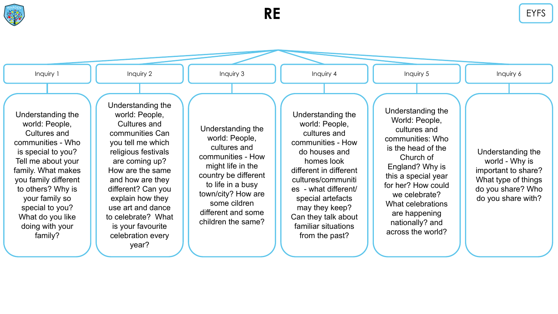



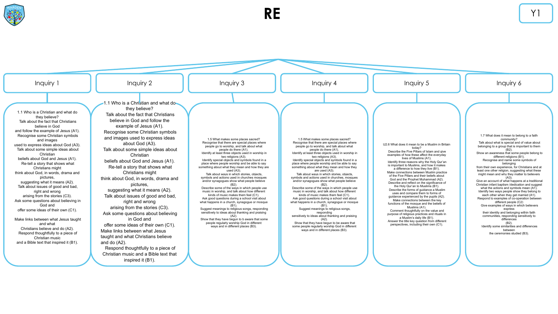



inspired it (B1).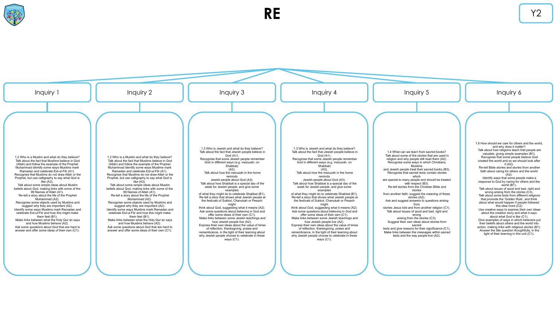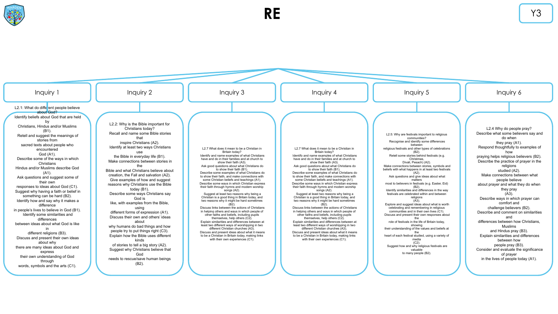

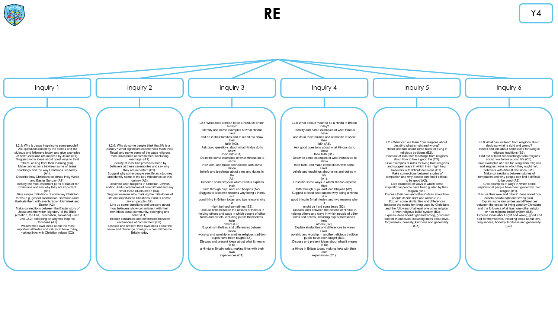

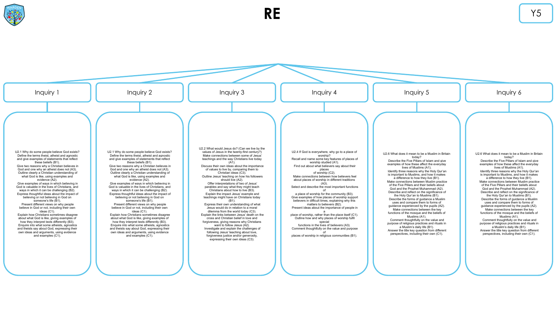